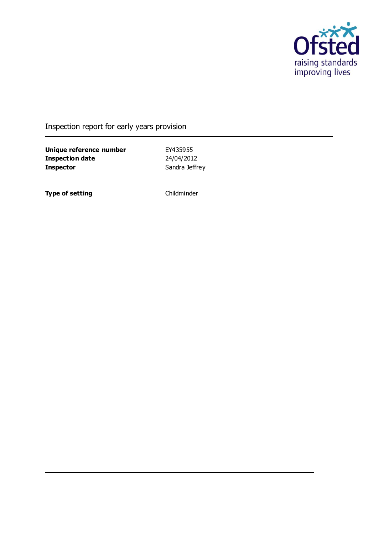

Inspection report for early years provision

**Unique reference number** EY435955<br> **Inspection date** 24/04/2012 **Inspection date Inspector** Sandra Jeffrey

**Type of setting** Childminder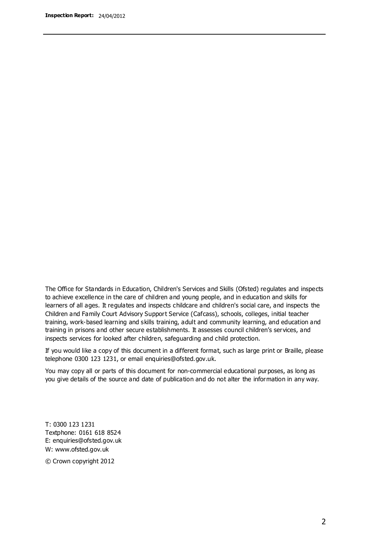The Office for Standards in Education, Children's Services and Skills (Ofsted) regulates and inspects to achieve excellence in the care of children and young people, and in education and skills for learners of all ages. It regulates and inspects childcare and children's social care, and inspects the Children and Family Court Advisory Support Service (Cafcass), schools, colleges, initial teacher training, work-based learning and skills training, adult and community learning, and education and training in prisons and other secure establishments. It assesses council children's services, and inspects services for looked after children, safeguarding and child protection.

If you would like a copy of this document in a different format, such as large print or Braille, please telephone 0300 123 1231, or email enquiries@ofsted.gov.uk.

You may copy all or parts of this document for non-commercial educational purposes, as long as you give details of the source and date of publication and do not alter the information in any way.

T: 0300 123 1231 Textphone: 0161 618 8524 E: enquiries@ofsted.gov.uk W: [www.ofsted.gov.uk](http://www.ofsted.gov.uk/)

© Crown copyright 2012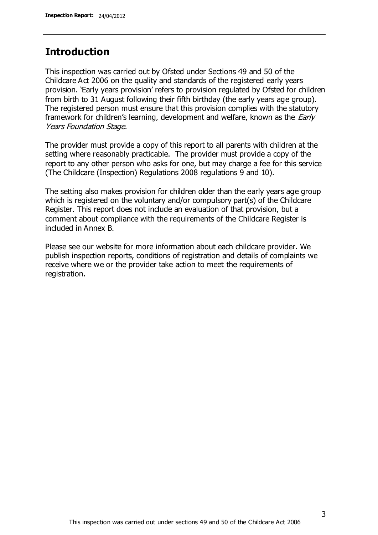### **Introduction**

This inspection was carried out by Ofsted under Sections 49 and 50 of the Childcare Act 2006 on the quality and standards of the registered early years provision. 'Early years provision' refers to provision regulated by Ofsted for children from birth to 31 August following their fifth birthday (the early years age group). The registered person must ensure that this provision complies with the statutory framework for children's learning, development and welfare, known as the *Early* Years Foundation Stage.

The provider must provide a copy of this report to all parents with children at the setting where reasonably practicable. The provider must provide a copy of the report to any other person who asks for one, but may charge a fee for this service (The Childcare (Inspection) Regulations 2008 regulations 9 and 10).

The setting also makes provision for children older than the early years age group which is registered on the voluntary and/or compulsory part(s) of the Childcare Register. This report does not include an evaluation of that provision, but a comment about compliance with the requirements of the Childcare Register is included in Annex B.

Please see our website for more information about each childcare provider. We publish inspection reports, conditions of registration and details of complaints we receive where we or the provider take action to meet the requirements of registration.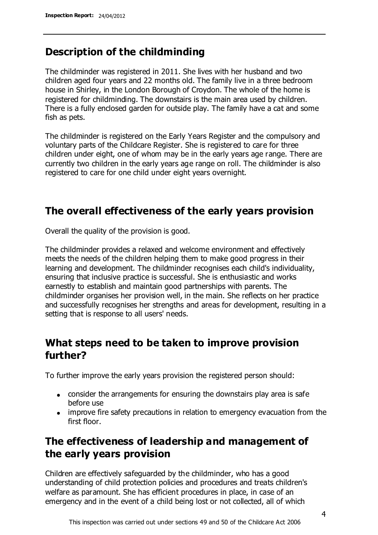### **Description of the childminding**

The childminder was registered in 2011. She lives with her husband and two children aged four years and 22 months old. The family live in a three bedroom house in Shirley, in the London Borough of Croydon. The whole of the home is registered for childminding. The downstairs is the main area used by children. There is a fully enclosed garden for outside play. The family have a cat and some fish as pets.

The childminder is registered on the Early Years Register and the compulsory and voluntary parts of the Childcare Register. She is registered to care for three children under eight, one of whom may be in the early years age range. There are currently two children in the early years age range on roll. The childminder is also registered to care for one child under eight years overnight.

### **The overall effectiveness of the early years provision**

Overall the quality of the provision is good.

The childminder provides a relaxed and welcome environment and effectively meets the needs of the children helping them to make good progress in their learning and development. The childminder recognises each child's individuality, ensuring that inclusive practice is successful. She is enthusiastic and works earnestly to establish and maintain good partnerships with parents. The childminder organises her provision well, in the main. She reflects on her practice and successfully recognises her strengths and areas for development, resulting in a setting that is response to all users' needs.

## **What steps need to be taken to improve provision further?**

To further improve the early years provision the registered person should:

- consider the arrangements for ensuring the downstairs play area is safe before use
- improve fire safety precautions in relation to emergency evacuation from the first floor.

## **The effectiveness of leadership and management of the early years provision**

Children are effectively safeguarded by the childminder, who has a good understanding of child protection policies and procedures and treats children's welfare as paramount. She has efficient procedures in place, in case of an emergency and in the event of a child being lost or not collected, all of which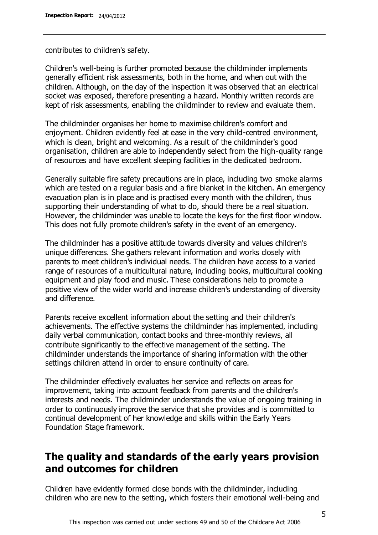contributes to children's safety.

Children's well-being is further promoted because the childminder implements generally efficient risk assessments, both in the home, and when out with the children. Although, on the day of the inspection it was observed that an electrical socket was exposed, therefore presenting a hazard. Monthly written records are kept of risk assessments, enabling the childminder to review and evaluate them.

The childminder organises her home to maximise children's comfort and enjoyment. Children evidently feel at ease in the very child-centred environment, which is clean, bright and welcoming. As a result of the childminder's good organisation, children are able to independently select from the high-quality range of resources and have excellent sleeping facilities in the dedicated bedroom.

Generally suitable fire safety precautions are in place, including two smoke alarms which are tested on a regular basis and a fire blanket in the kitchen. An emergency evacuation plan is in place and is practised every month with the children, thus supporting their understanding of what to do, should there be a real situation. However, the childminder was unable to locate the keys for the first floor window. This does not fully promote children's safety in the event of an emergency.

The childminder has a positive attitude towards diversity and values children's unique differences. She gathers relevant information and works closely with parents to meet children's individual needs. The children have access to a varied range of resources of a multicultural nature, including books, multicultural cooking equipment and play food and music. These considerations help to promote a positive view of the wider world and increase children's understanding of diversity and difference.

Parents receive excellent information about the setting and their children's achievements. The effective systems the childminder has implemented, including daily verbal communication, contact books and three-monthly reviews, all contribute significantly to the effective management of the setting. The childminder understands the importance of sharing information with the other settings children attend in order to ensure continuity of care.

The childminder effectively evaluates her service and reflects on areas for improvement, taking into account feedback from parents and the children's interests and needs. The childminder understands the value of ongoing training in order to continuously improve the service that she provides and is committed to continual development of her knowledge and skills within the Early Years Foundation Stage framework.

## **The quality and standards of the early years provision and outcomes for children**

Children have evidently formed close bonds with the childminder, including children who are new to the setting, which fosters their emotional well-being and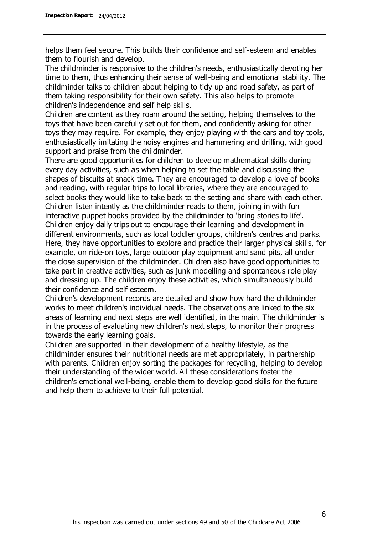helps them feel secure. This builds their confidence and self-esteem and enables them to flourish and develop.

The childminder is responsive to the children's needs, enthusiastically devoting her time to them, thus enhancing their sense of well-being and emotional stability. The childminder talks to children about helping to tidy up and road safety, as part of them taking responsibility for their own safety. This also helps to promote children's independence and self help skills.

Children are content as they roam around the setting, helping themselves to the toys that have been carefully set out for them, and confidently asking for other toys they may require. For example, they enjoy playing with the cars and toy tools, enthusiastically imitating the noisy engines and hammering and drilling, with good support and praise from the childminder.

There are good opportunities for children to develop mathematical skills during every day activities, such as when helping to set the table and discussing the shapes of biscuits at snack time. They are encouraged to develop a love of books and reading, with regular trips to local libraries, where they are encouraged to select books they would like to take back to the setting and share with each other. Children listen intently as the childminder reads to them, joining in with fun interactive puppet books provided by the childminder to 'bring stories to life'. Children enjoy daily trips out to encourage their learning and development in different environments, such as local toddler groups, children's centres and parks. Here, they have opportunities to explore and practice their larger physical skills, for example, on ride-on toys, large outdoor play equipment and sand pits, all under the close supervision of the childminder. Children also have good opportunities to take part in creative activities, such as junk modelling and spontaneous role play and dressing up. The children enjoy these activities, which simultaneously build their confidence and self esteem.

Children's development records are detailed and show how hard the childminder works to meet children's individual needs. The observations are linked to the six areas of learning and next steps are well identified, in the main. The childminder is in the process of evaluating new children's next steps, to monitor their progress towards the early learning goals.

Children are supported in their development of a healthy lifestyle, as the childminder ensures their nutritional needs are met appropriately, in partnership with parents. Children enjoy sorting the packages for recycling, helping to develop their understanding of the wider world. All these considerations foster the children's emotional well-being, enable them to develop good skills for the future and help them to achieve to their full potential.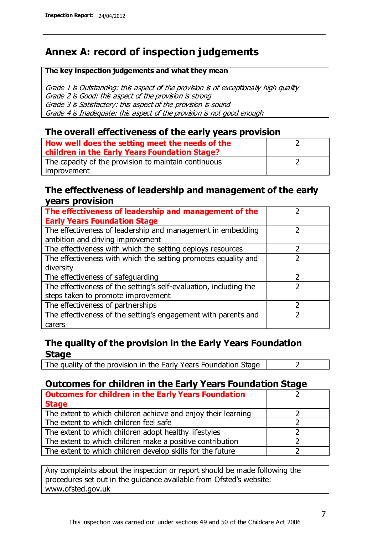## **Annex A: record of inspection judgements**

#### **The key inspection judgements and what they mean**

Grade 1 is Outstanding: this aspect of the provision is of exceptionally high quality Grade 2 is Good: this aspect of the provision is strong Grade 3 is Satisfactory: this aspect of the provision is sound Grade 4 is Inadequate: this aspect of the provision is not good enough

### **The overall effectiveness of the early years provision**

| How well does the setting meet the needs of the      |  |
|------------------------------------------------------|--|
| children in the Early Years Foundation Stage?        |  |
| The capacity of the provision to maintain continuous |  |
| improvement                                          |  |

### **The effectiveness of leadership and management of the early years provision**

| The effectiveness of leadership and management of the             |  |
|-------------------------------------------------------------------|--|
| <b>Early Years Foundation Stage</b>                               |  |
| The effectiveness of leadership and management in embedding       |  |
| ambition and driving improvement                                  |  |
| The effectiveness with which the setting deploys resources        |  |
| The effectiveness with which the setting promotes equality and    |  |
| diversity                                                         |  |
| The effectiveness of safeguarding                                 |  |
| The effectiveness of the setting's self-evaluation, including the |  |
| steps taken to promote improvement                                |  |
| The effectiveness of partnerships                                 |  |
| The effectiveness of the setting's engagement with parents and    |  |
| carers                                                            |  |

### **The quality of the provision in the Early Years Foundation Stage**

The quality of the provision in the Early Years Foundation Stage  $\vert$  2

### **Outcomes for children in the Early Years Foundation Stage**

| <b>Outcomes for children in the Early Years Foundation</b>    |  |
|---------------------------------------------------------------|--|
| <b>Stage</b>                                                  |  |
| The extent to which children achieve and enjoy their learning |  |
| The extent to which children feel safe                        |  |
| The extent to which children adopt healthy lifestyles         |  |
| The extent to which children make a positive contribution     |  |
| The extent to which children develop skills for the future    |  |

Any complaints about the inspection or report should be made following the procedures set out in the guidance available from Ofsted's website: www.ofsted.gov.uk